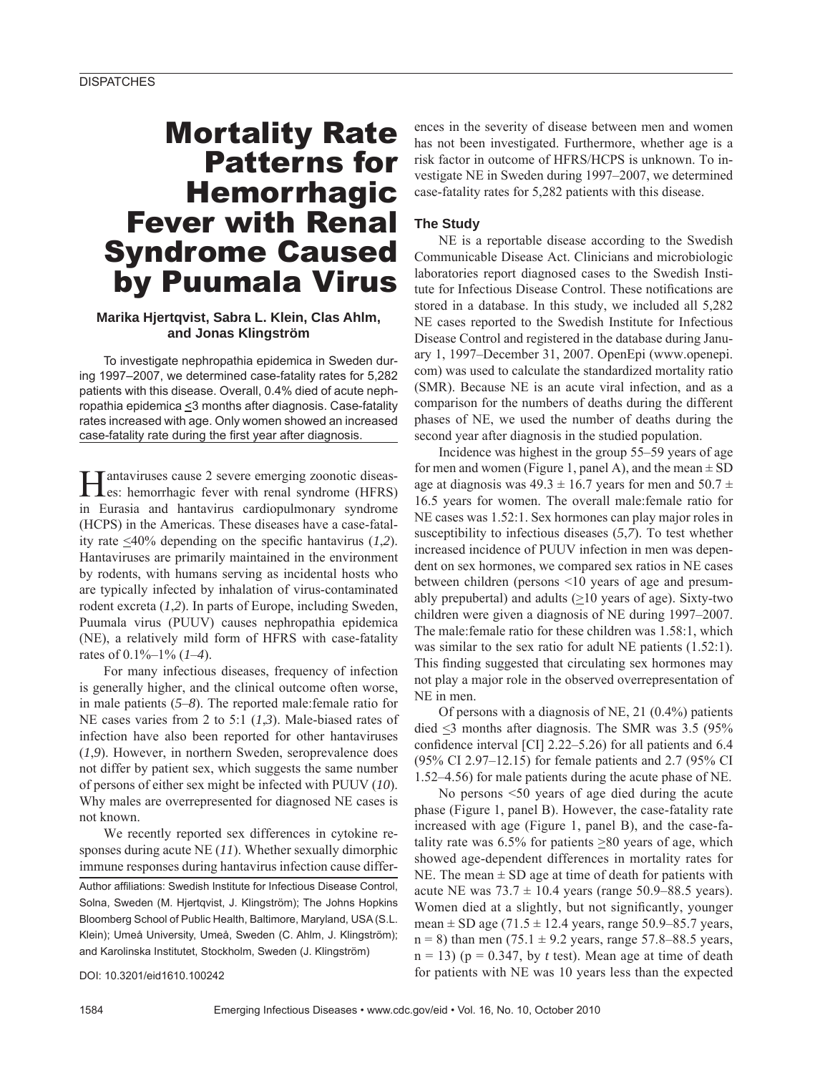# Mortality Rate Patterns for Hemorrhagic Fever with Renal Syndrome Caused by Puumala Virus

## **Marika Hjertqvist, Sabra L. Klein, Clas Ahlm, and Jonas Klingström**

To investigate nephropathia epidemica in Sweden during 1997–2007, we determined case-fatality rates for 5,282 patients with this disease. Overall, 0.4% died of acute nephropathia epidemica <3 months after diagnosis. Case-fatality rates increased with age. Only women showed an increased case-fatality rate during the first year after diagnosis.

Hantaviruses cause 2 severe emerging zoonotic diseas-es: hemorrhagic fever with renal syndrome (HFRS) in Eurasia and hantavirus cardiopulmonary syndrome (HCPS) in the Americas. These diseases have a case-fatality rate  $\leq 40\%$  depending on the specific hantavirus (1,2). Hantaviruses are primarily maintained in the environment by rodents, with humans serving as incidental hosts who are typically infected by inhalation of virus-contaminated rodent excreta (*1*,*2*). In parts of Europe, including Sweden, Puumala virus (PUUV) causes nephropathia epidemica (NE), a relatively mild form of HFRS with case-fatality rates of 0.1%–1% (*1*–*4*).

For many infectious diseases, frequency of infection is generally higher, and the clinical outcome often worse, in male patients (*5*–*8*). The reported male:female ratio for NE cases varies from 2 to 5:1 (*1*,*3*). Male-biased rates of infection have also been reported for other hantaviruses (*1*,*9*). However, in northern Sweden, seroprevalence does not differ by patient sex, which suggests the same number of persons of either sex might be infected with PUUV (*10*). Why males are overrepresented for diagnosed NE cases is not known.

We recently reported sex differences in cytokine responses during acute NE (*11*). Whether sexually dimorphic immune responses during hantavirus infection cause differ-Author affiliations: Swedish Institute for Infectious Disease Control, Solna, Sweden (M. Hjertqvist, J. Klingström); The Johns Hopkins Bloomberg School of Public Health, Baltimore, Maryland, USA (S.L. Klein); Umeå University, Umeå, Sweden (C. Ahlm, J. Klingström); and Karolinska Institutet, Stockholm, Sweden (J. Klingström)

DOI: 10.3201/eid1610.100242

ences in the severity of disease between men and women has not been investigated. Furthermore, whether age is a risk factor in outcome of HFRS/HCPS is unknown. To investigate NE in Sweden during 1997–2007, we determined case-fatality rates for 5,282 patients with this disease.

### **The Study**

NE is a reportable disease according to the Swedish Communicable Disease Act. Clinicians and microbiologic laboratories report diagnosed cases to the Swedish Institute for Infectious Disease Control. These notifications are stored in a database. In this study, we included all 5,282 NE cases reported to the Swedish Institute for Infectious Disease Control and registered in the database during January 1, 1997–December 31, 2007. OpenEpi (www.openepi. com) was used to calculate the standardized mortality ratio (SMR). Because NE is an acute viral infection, and as a comparison for the numbers of deaths during the different phases of NE, we used the number of deaths during the second year after diagnosis in the studied population.

Incidence was highest in the group 55–59 years of age for men and women (Figure 1, panel A), and the mean  $\pm$  SD age at diagnosis was  $49.3 \pm 16.7$  years for men and  $50.7 \pm 16.7$ 16.5 years for women. The overall male:female ratio for NE cases was 1.52:1. Sex hormones can play major roles in susceptibility to infectious diseases (*5*,*7*). To test whether increased incidence of PUUV infection in men was dependent on sex hormones, we compared sex ratios in NE cases between children (persons <10 years of age and presumably prepubertal) and adults  $(\geq 10$  years of age). Sixty-two children were given a diagnosis of NE during 1997–2007. The male:female ratio for these children was 1.58:1, which was similar to the sex ratio for adult NE patients (1.52:1). This finding suggested that circulating sex hormones may not play a major role in the observed overrepresentation of NE in men.

Of persons with a diagnosis of NE, 21 (0.4%) patients died  $\leq$ 3 months after diagnosis. The SMR was 3.5 (95%) confidence interval [CI]  $2.22-5.26$ ) for all patients and  $6.4$ (95% CI 2.97–12.15) for female patients and 2.7 (95% CI 1.52–4.56) for male patients during the acute phase of NE.

No persons <50 years of age died during the acute phase (Figure 1, panel B). However, the case-fatality rate increased with age (Figure 1, panel B), and the case-fatality rate was 6.5% for patients  $\geq 80$  years of age, which showed age-dependent differences in mortality rates for NE. The mean  $\pm$  SD age at time of death for patients with acute NE was  $73.7 \pm 10.4$  years (range 50.9–88.5 years). Women died at a slightly, but not significantly, younger mean  $\pm$  SD age (71.5  $\pm$  12.4 years, range 50.9–85.7 years,  $n = 8$ ) than men (75.1  $\pm$  9.2 years, range 57.8–88.5 years,  $n = 13$ ) ( $p = 0.347$ , by *t* test). Mean age at time of death for patients with NE was 10 years less than the expected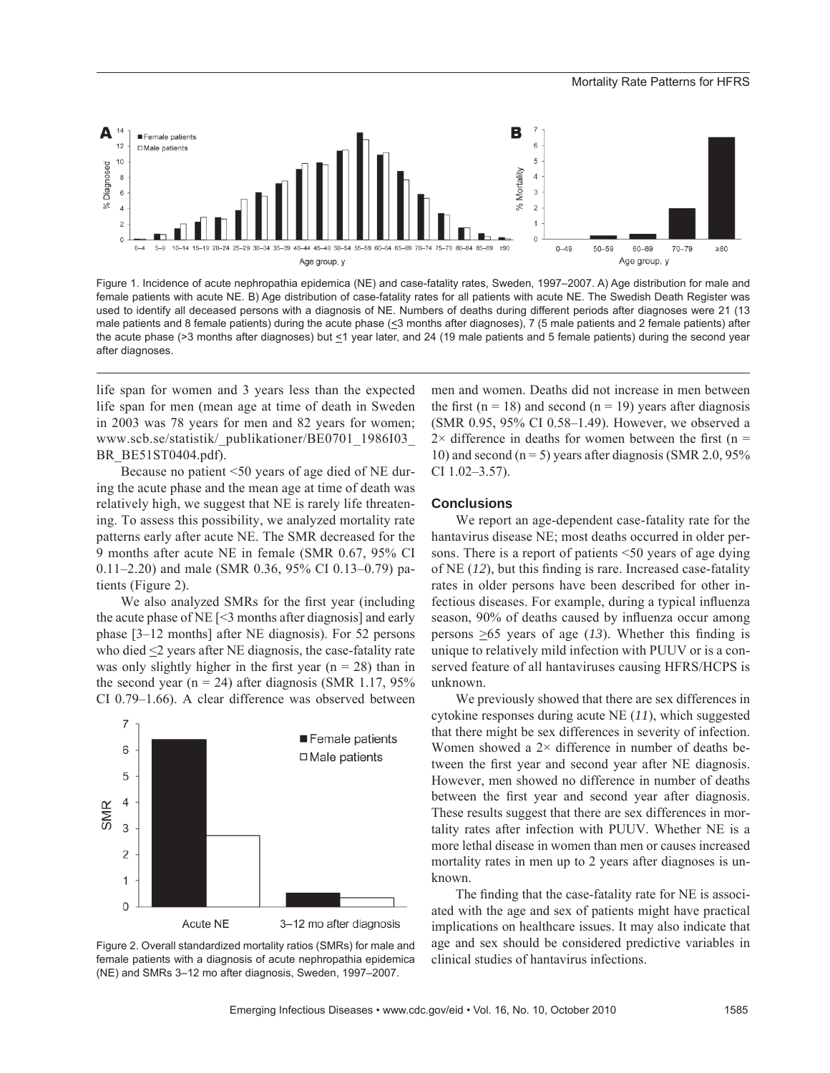

Figure 1. Incidence of acute nephropathia epidemica (NE) and case-fatality rates, Sweden, 1997–2007. A) Age distribution for male and female patients with acute NE. B) Age distribution of case-fatality rates for all patients with acute NE. The Swedish Death Register was used to identify all deceased persons with a diagnosis of NE. Numbers of deaths during different periods after diagnoses were 21 (13 male patients and 8 female patients) during the acute phase (<3 months after diagnoses), 7 (5 male patients and 2 female patients) after the acute phase (>3 months after diagnoses) but <1 year later, and 24 (19 male patients and 5 female patients) during the second year after diagnoses.

life span for women and 3 years less than the expected life span for men (mean age at time of death in Sweden in 2003 was 78 years for men and 82 years for women; www.scb.se/statistik/\_publikationer/BE0701\_1986I03\_ BR\_BE51ST0404.pdf).

Because no patient <50 years of age died of NE during the acute phase and the mean age at time of death was relatively high, we suggest that NE is rarely life threatening. To assess this possibility, we analyzed mortality rate patterns early after acute NE. The SMR decreased for the 9 months after acute NE in female (SMR 0.67, 95% CI 0.11–2.20) and male (SMR 0.36, 95% CI 0.13–0.79) patients (Figure 2).

We also analyzed SMRs for the first year (including the acute phase of NE [<3 months after diagnosis] and early phase [3–12 months] after NE diagnosis). For 52 persons who died <2 years after NE diagnosis, the case-fatality rate was only slightly higher in the first year ( $n = 28$ ) than in the second year ( $n = 24$ ) after diagnosis (SMR 1.17, 95%) CI 0.79–1.66). A clear difference was observed between



Figure 2. Overall standardized mortality ratios (SMRs) for male and female patients with a diagnosis of acute nephropathia epidemica (NE) and SMRs 3–12 mo after diagnosis, Sweden, 1997–2007.

men and women. Deaths did not increase in men between the first (n = 18) and second (n = 19) years after diagnosis (SMR 0.95, 95% CI 0.58–1.49). However, we observed a  $2 \times$  difference in deaths for women between the first (n = 10) and second ( $n = 5$ ) years after diagnosis (SMR 2.0, 95%) CI 1.02–3.57).

#### **Conclusions**

We report an age-dependent case-fatality rate for the hantavirus disease NE; most deaths occurred in older persons. There is a report of patients <50 years of age dying of NE  $(12)$ , but this finding is rare. Increased case-fatality rates in older persons have been described for other infectious diseases. For example, during a typical influenza season, 90% of deaths caused by influenza occur among persons  $\geq 65$  years of age (13). Whether this finding is unique to relatively mild infection with PUUV or is a conserved feature of all hantaviruses causing HFRS/HCPS is unknown.

We previously showed that there are sex differences in cytokine responses during acute NE (*11*), which suggested that there might be sex differences in severity of infection. Women showed a  $2 \times$  difference in number of deaths between the first year and second year after NE diagnosis. However, men showed no difference in number of deaths between the first year and second year after diagnosis. These results suggest that there are sex differences in mortality rates after infection with PUUV. Whether NE is a more lethal disease in women than men or causes increased mortality rates in men up to 2 years after diagnoses is unknown.

The finding that the case-fatality rate for NE is associated with the age and sex of patients might have practical implications on healthcare issues. It may also indicate that age and sex should be considered predictive variables in clinical studies of hantavirus infections.